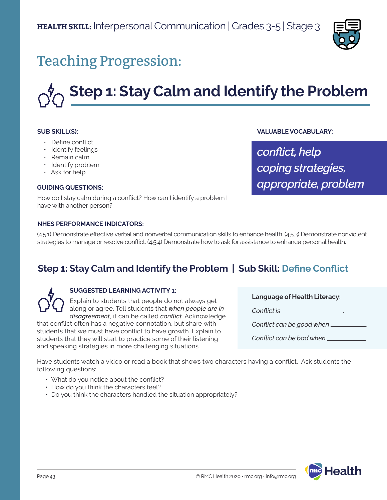

## Teaching Progression:

# **Step 1: Stay Calm and Identify the Problem**

#### **SUB SKILL(S):**

- Define conflict
- Identify feelings
- Remain calm
- Identify problem
- Ask for help

#### **GUIDING QUESTIONS:**

How do I stay calm during a conflict? How can I identify a problem I have with another person?

#### **NHES PERFORMANCE INDICATORS:**

(4.5.1) Demonstrate effective verbal and nonverbal communication skills to enhance health. (4.5.3) Demonstrate nonviolent strategies to manage or resolve conflict. (4.5.4) Demonstrate how to ask for assistance to enhance personal health.

### **Step 1: Stay Calm and Identify the Problem | Sub Skill: Define Conflict**



#### **SUGGESTED LEARNING ACTIVITY 1:**

Explain to students that people do not always get along or agree. Tell students that *when people are in disagreement*, it can be called *conflict*. Acknowledge

that conflict often has a negative connotation, but share with students that we must have conflict to have growth. Explain to students that they will start to practice some of their listening and speaking strategies in more challenging situations.

**Language of Health Literacy:**

**VALUABLE VOCABULARY:**

*coping strategies,*

*appropriate, problem*

*conflict, help*

*Conflict is* .

*Conflict can be good when* .

*Conflict can be bad when* .

Have students watch a video or read a book that shows two characters having a conflict. Ask students the following questions:

- What do you notice about the conflict?
- How do you think the characters feel?
- Do you think the characters handled the situation appropriately?

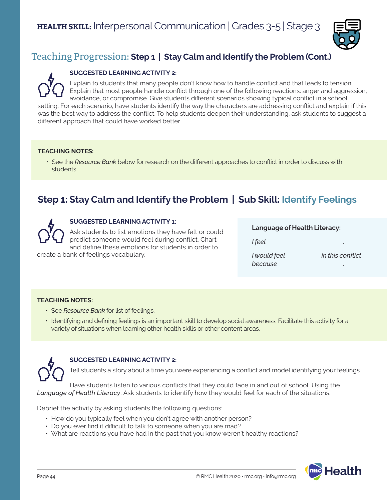

#### **SUGGESTED LEARNING ACTIVITY 2:**

Explain to students that many people don't know how to handle conflict and that leads to tension. Explain that most people handle conflict through one of the following reactions: anger and aggression, avoidance, or compromise. Give students different scenarios showing typical conflict in a school setting. For each scenario, have students identify the way the characters are addressing conflict and explain if this was the best way to address the conflict. To help students deepen their understanding, ask students to suggest a different approach that could have worked better.

#### **TEACHING NOTES:**

• See the *Resource Bank* below for research on the different approaches to conflict in order to discuss with students.

## **Step 1: Stay Calm and Identify the Problem | Sub Skill: Identify Feelings**



#### **SUGGESTED LEARNING ACTIVITY 1:**

Ask students to list emotions they have felt or could predict someone would feel during conflict. Chart and define these emotions for students in order to

create a bank of feelings vocabulary.

| <b>Language of Health Literacy:</b> |  |  |
|-------------------------------------|--|--|
|-------------------------------------|--|--|

| I feel       |                  |
|--------------|------------------|
| I would feel | in this conflict |
| because      |                  |

#### **TEACHING NOTES:**

- See *Resource Bank* for list of feelings.
- Identifying and defining feelings is an important skill to develop social awareness. Facilitate this activity for a variety of situations when learning other health skills or other content areas.



#### **SUGGESTED LEARNING ACTIVITY 2:**

Tell students a story about a time you were experiencing a conflict and model identifying your feelings.

Have students listen to various conflicts that they could face in and out of school. Using the *Language of Health Literacy*, Ask students to identify how they would feel for each of the situations.

Debrief the activity by asking students the following questions:

- How do you typically feel when you don't agree with another person?
- Do you ever find it difficult to talk to someone when you are mad?
- What are reactions you have had in the past that you know weren't healthy reactions?

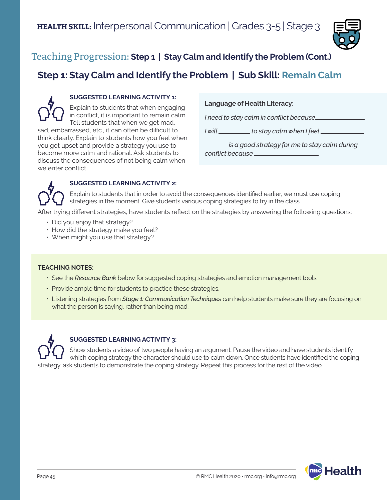

## **Step 1: Stay Calm and Identify the Problem | Sub Skill: Remain Calm**



#### **SUGGESTED LEARNING ACTIVITY 1:**

Explain to students that when engaging in conflict, it is important to remain calm. Tell students that when we get mad, sad, embarrassed, etc., it can often be difficult to think clearly. Explain to students how you feel when you get upset and provide a strategy you use to become more calm and rational. Ask students to discuss the consequences of not being calm when we enter conflict.

#### **Language of Health Literacy:**

*I need to stay calm in conflict because* .

*I* will \_\_\_\_\_\_\_\_\_\_ to stay calm when I feel \_\_

 *is a good strategy for me to stay calm during conflict because* .



#### **SUGGESTED LEARNING ACTIVITY 2:**

Explain to students that in order to avoid the consequences identified earlier, we must use coping strategies in the moment. Give students various coping strategies to try in the class.

After trying different strategies, have students reflect on the strategies by answering the following questions:

- Did you enjoy that strategy?
- How did the strategy make you feel?
- When might you use that strategy?

#### **TEACHING NOTES:**

- See the *Resource Bank* below for suggested coping strategies and emotion management tools.
- Provide ample time for students to practice these strategies.
- Listening strategies from *Stage 1: Communication Techniques* can help students make sure they are focusing on what the person is saying, rather than being mad.



#### **SUGGESTED LEARNING ACTIVITY 3:**

Show students a video of two people having an argument. Pause the video and have students identify which coping strategy the character should use to calm down. Once students have identified the coping strategy, ask students to demonstrate the coping strategy. Repeat this process for the rest of the video.

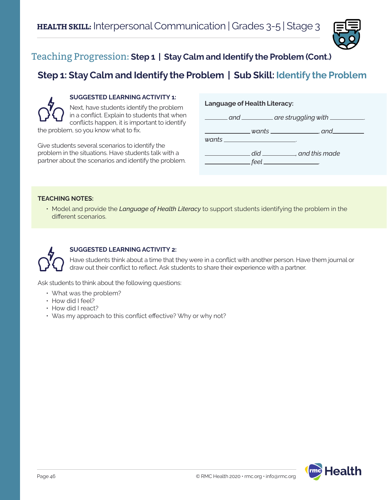

## **Step 1: Stay Calm and Identify the Problem | Sub Skill: Identify the Problem**



#### **SUGGESTED LEARNING ACTIVITY 1:**

Next, have students identify the problem in a conflict. Explain to students that when conflicts happen, it is important to identify the problem, so you know what to fix.

Give students several scenarios to identify the problem in the situations. Have students talk with a partner about the scenarios and identify the problem.

#### **Language of Health Literacy:**



#### **TEACHING NOTES:**

• Model and provide the *Language of Health Literacy* to support students identifying the problem in the different scenarios.



#### **SUGGESTED LEARNING ACTIVITY 2:**

Have students think about a time that they were in a conflict with another person. Have them journal or draw out their conflict to reflect. Ask students to share their experience with a partner.

Ask students to think about the following questions:

- What was the problem?
- How did I feel?
- How did I react?
- Was my approach to this conflict effective? Why or why not?